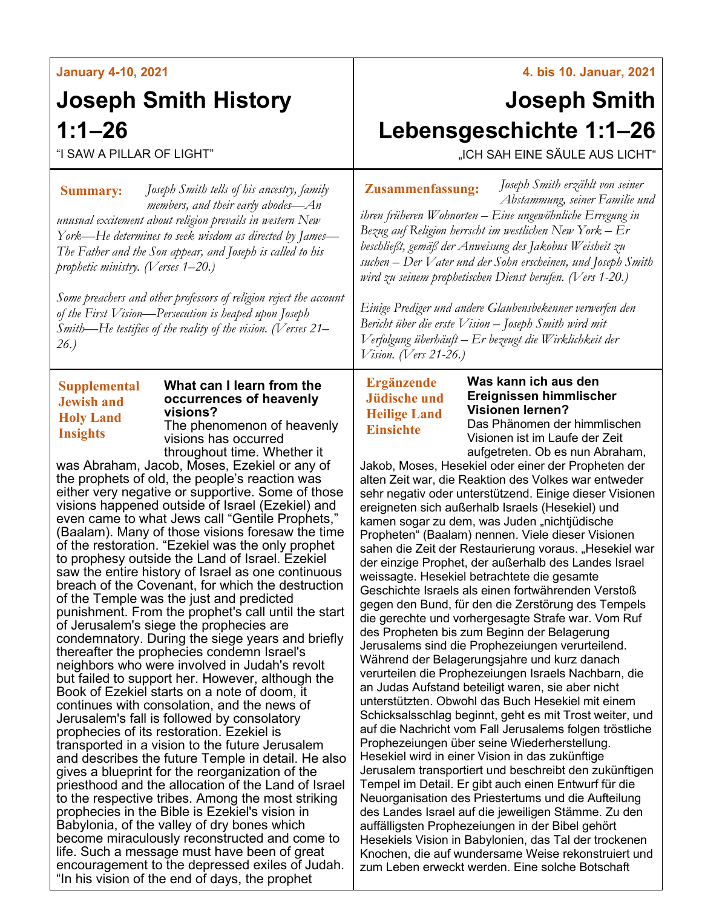### **January 4-10, 2021**

# **Joseph Smith History 1:1–26**

"I SAW A PILLAR OF LIGHT"

*Joseph Smith tells of his ancestry, family*  **Summary: Zusammenfassung:** *members, and their early abodes—An unusual excitement about religion prevails in western New York—He determines to seek wisdom as directed by James— The Father and the Son appear, and Joseph is called to his prophetic ministry. (Verses 1–20.)*

*Some preachers and other professors of religion reject the account of the First Vision—Persecution is heaped upon Joseph Smith—He testifies of the reality of the vision. (Verses 21– 26.)*

## **Supplemental Jewish and Holy Land Insights**

### **What can I learn from the occurrences of heavenly visions?**

The phenomenon of heavenly visions has occurred throughout time. Whether it

was Abraham, Jacob, Moses, Ezekiel or any of the prophets of old, the people's reaction was either very negative or supportive. Some of those visions happened outside of Israel (Ezekiel) and even came to what Jews call "Gentile Prophets," (Baalam). Many of those visions foresaw the time of the restoration. "Ezekiel was the only prophet to prophesy outside the Land of Israel. Ezekiel saw the entire history of Israel as one continuous breach of the Covenant, for which the destruction of the Temple was the just and predicted punishment. From the prophet's call until the start of Jerusalem's siege the prophecies are condemnatory. During the siege years and briefly thereafter the prophecies condemn Israel's neighbors who were involved in Judah's revolt but failed to support her. However, although the Book of Ezekiel starts on a note of doom, it continues with consolation, and the news of Jerusalem's fall is followed by consolatory prophecies of its restoration. Ezekiel is transported in a vision to the future Jerusalem and describes the future Temple in detail. He also gives a blueprint for the reorganization of the priesthood and the allocation of the Land of Israel to the respective tribes. Among the most striking prophecies in the Bible is Ezekiel's vision in Babylonia, of the valley of dry bones which become miraculously reconstructed and come to life. Such a message must have been of great encouragement to the depressed exiles of Judah. "In his vision of the end of days, the prophet

#### **4. bis 10. Januar, 2021**

# **Joseph Smith Lebensgeschichte 1:1–26**

"ICH SAH EINE SÄULE AUS LICHT"

*Joseph Smith erzählt von seiner Abstammung, seiner Familie und* 

*ihren früheren Wohnorten – Eine ungewöhnliche Erregung in Bezug auf Religion herrscht im westlichen New York – Er beschließt, gemäß der Anweisung des Jakobus Weisheit zu suchen – Der Vater und der Sohn erscheinen, und Joseph Smith wird zu seinem prophetischen Dienst berufen. (Vers 1-20.)*

*Einige Prediger und andere Glaubensbekenner verwerfen den Bericht über die erste Vision – Joseph Smith wird mit Verfolgung überhäuft – Er bezeugt die Wirklichkeit der Vision. (Vers 21-26.)*

**Ergänzende Jüdische und Heilige Land Einsichte**

#### **Was kann ich aus den Ereignissen himmlischer Visionen lernen?**

Das Phänomen der himmlischen Visionen ist im Laufe der Zeit aufgetreten. Ob es nun Abraham,

Jakob, Moses, Hesekiel oder einer der Propheten der alten Zeit war, die Reaktion des Volkes war entweder sehr negativ oder unterstützend. Einige dieser Visionen ereigneten sich außerhalb Israels (Hesekiel) und kamen sogar zu dem, was Juden "nichtjüdische Propheten" (Baalam) nennen. Viele dieser Visionen sahen die Zeit der Restaurierung voraus. "Hesekiel war der einzige Prophet, der außerhalb des Landes Israel weissagte. Hesekiel betrachtete die gesamte Geschichte Israels als einen fortwährenden Verstoß gegen den Bund, für den die Zerstörung des Tempels die gerechte und vorhergesagte Strafe war. Vom Ruf des Propheten bis zum Beginn der Belagerung Jerusalems sind die Prophezeiungen verurteilend. Während der Belagerungsjahre und kurz danach verurteilen die Prophezeiungen Israels Nachbarn, die an Judas Aufstand beteiligt waren, sie aber nicht unterstützten. Obwohl das Buch Hesekiel mit einem Schicksalsschlag beginnt, geht es mit Trost weiter, und auf die Nachricht vom Fall Jerusalems folgen tröstliche Prophezeiungen über seine Wiederherstellung. Hesekiel wird in einer Vision in das zukünftige Jerusalem transportiert und beschreibt den zukünftigen Tempel im Detail. Er gibt auch einen Entwurf für die Neuorganisation des Priestertums und die Aufteilung des Landes Israel auf die jeweiligen Stämme. Zu den auffälligsten Prophezeiungen in der Bibel gehört Hesekiels Vision in Babylonien, das Tal der trockenen Knochen, die auf wundersame Weise rekonstruiert und zum Leben erweckt werden. Eine solche Botschaft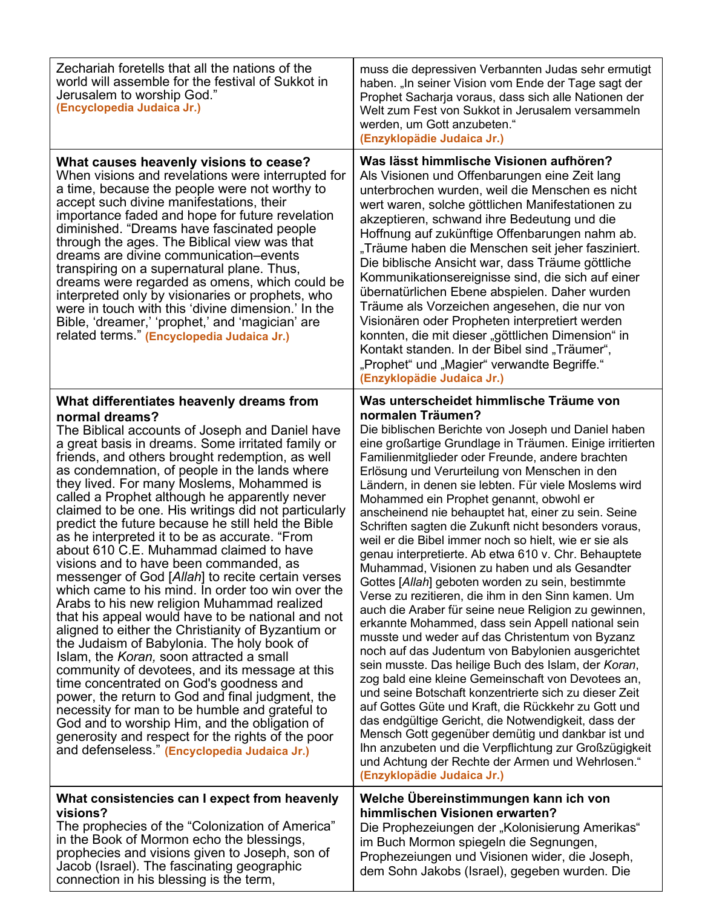| Zechariah foretells that all the nations of the<br>world will assemble for the festival of Sukkot in<br>Jerusalem to worship God."<br>(Encyclopedia Judaica Jr.)                                                                                                                                                                                                                                                                                                                                                                                                                                                                                                                                                                                                                                                                                                                                                                                                                                                                                                                                                                                                                                                                                                                                                                                | muss die depressiven Verbannten Judas sehr ermutigt<br>haben. "In seiner Vision vom Ende der Tage sagt der<br>Prophet Sacharja voraus, dass sich alle Nationen der<br>Welt zum Fest von Sukkot in Jerusalem versammeln<br>werden, um Gott anzubeten."<br>(Enzyklopädie Judaica Jr.)                                                                                                                                                                                                                                                                                                                                                                                                                                                                                                                                                                                                                                                                                                                                                                                                                                                                                                                                                                                                                                                                                                                                                                                                         |
|-------------------------------------------------------------------------------------------------------------------------------------------------------------------------------------------------------------------------------------------------------------------------------------------------------------------------------------------------------------------------------------------------------------------------------------------------------------------------------------------------------------------------------------------------------------------------------------------------------------------------------------------------------------------------------------------------------------------------------------------------------------------------------------------------------------------------------------------------------------------------------------------------------------------------------------------------------------------------------------------------------------------------------------------------------------------------------------------------------------------------------------------------------------------------------------------------------------------------------------------------------------------------------------------------------------------------------------------------|---------------------------------------------------------------------------------------------------------------------------------------------------------------------------------------------------------------------------------------------------------------------------------------------------------------------------------------------------------------------------------------------------------------------------------------------------------------------------------------------------------------------------------------------------------------------------------------------------------------------------------------------------------------------------------------------------------------------------------------------------------------------------------------------------------------------------------------------------------------------------------------------------------------------------------------------------------------------------------------------------------------------------------------------------------------------------------------------------------------------------------------------------------------------------------------------------------------------------------------------------------------------------------------------------------------------------------------------------------------------------------------------------------------------------------------------------------------------------------------------|
| What causes heavenly visions to cease?<br>When visions and revelations were interrupted for<br>a time, because the people were not worthy to<br>accept such divine manifestations, their<br>importance faded and hope for future revelation<br>diminished. "Dreams have fascinated people<br>through the ages. The Biblical view was that<br>dreams are divine communication-events<br>transpiring on a supernatural plane. Thus,<br>dreams were regarded as omens, which could be<br>interpreted only by visionaries or prophets, who<br>were in touch with this 'divine dimension.' In the<br>Bible, 'dreamer,' 'prophet,' and 'magician' are<br>related terms." (Encyclopedia Judaica Jr.)                                                                                                                                                                                                                                                                                                                                                                                                                                                                                                                                                                                                                                                   | Was lässt himmlische Visionen aufhören?<br>Als Visionen und Offenbarungen eine Zeit lang<br>unterbrochen wurden, weil die Menschen es nicht<br>wert waren, solche göttlichen Manifestationen zu<br>akzeptieren, schwand ihre Bedeutung und die<br>Hoffnung auf zukünftige Offenbarungen nahm ab.<br>"Träume haben die Menschen seit jeher fasziniert.<br>Die biblische Ansicht war, dass Träume göttliche<br>Kommunikationsereignisse sind, die sich auf einer<br>übernatürlichen Ebene abspielen. Daher wurden<br>Träume als Vorzeichen angesehen, die nur von<br>Visionären oder Propheten interpretiert werden<br>konnten, die mit dieser "göttlichen Dimension" in<br>Kontakt standen. In der Bibel sind "Träumer",<br>"Prophet" und "Magier" verwandte Begriffe."<br>(Enzyklopädie Judaica Jr.)                                                                                                                                                                                                                                                                                                                                                                                                                                                                                                                                                                                                                                                                                        |
| What differentiates heavenly dreams from<br>normal dreams?<br>The Biblical accounts of Joseph and Daniel have<br>a great basis in dreams. Some irritated family or<br>friends, and others brought redemption, as well<br>as condemnation, of people in the lands where<br>they lived. For many Moslems, Mohammed is<br>called a Prophet although he apparently never<br>claimed to be one. His writings did not particularly<br>predict the future because he still held the Bible<br>as he interpreted it to be as accurate. "From<br>about 610 C.E. Muhammad claimed to have<br>visions and to have been commanded, as<br>messenger of God [Allah] to recite certain verses<br>which came to his mind. In order too win over the<br>Arabs to his new religion Muhammad realized<br>that his appeal would have to be national and not<br>aligned to either the Christianity of Byzantium or<br>the Judaism of Babylonia. The holy book of<br>Islam, the Koran, soon attracted a small<br>community of devotees, and its message at this<br>time concentrated on God's goodness and<br>power, the return to God and final judgment, the<br>necessity for man to be humble and grateful to<br>God and to worship Him, and the obligation of<br>generosity and respect for the rights of the poor<br>and defenseless." (Encyclopedia Judaica Jr.) | Was unterscheidet himmlische Träume von<br>normalen Träumen?<br>Die biblischen Berichte von Joseph und Daniel haben<br>eine großartige Grundlage in Träumen. Einige irritierten<br>Familienmitglieder oder Freunde, andere brachten<br>Erlösung und Verurteilung von Menschen in den<br>Ländern, in denen sie lebten. Für viele Moslems wird<br>Mohammed ein Prophet genannt, obwohl er<br>anscheinend nie behauptet hat, einer zu sein. Seine<br>Schriften sagten die Zukunft nicht besonders voraus,<br>weil er die Bibel immer noch so hielt, wie er sie als<br>genau interpretierte. Ab etwa 610 v. Chr. Behauptete<br>Muhammad, Visionen zu haben und als Gesandter<br>Gottes [Allah] geboten worden zu sein, bestimmte<br>Verse zu rezitieren, die ihm in den Sinn kamen. Um<br>auch die Araber für seine neue Religion zu gewinnen,<br>erkannte Mohammed, dass sein Appell national sein<br>musste und weder auf das Christentum von Byzanz<br>noch auf das Judentum von Babylonien ausgerichtet<br>sein musste. Das heilige Buch des Islam, der Koran,<br>zog bald eine kleine Gemeinschaft von Devotees an,<br>und seine Botschaft konzentrierte sich zu dieser Zeit<br>auf Gottes Güte und Kraft, die Rückkehr zu Gott und<br>das endgültige Gericht, die Notwendigkeit, dass der<br>Mensch Gott gegenüber demütig und dankbar ist und<br>Ihn anzubeten und die Verpflichtung zur Großzügigkeit<br>und Achtung der Rechte der Armen und Wehrlosen."<br>(Enzyklopädie Judaica Jr.) |
| What consistencies can I expect from heavenly<br>visions?<br>The prophecies of the "Colonization of America"<br>in the Book of Mormon echo the blessings,<br>prophecies and visions given to Joseph, son of<br>Jacob (Israel). The fascinating geographic<br>connection in his blessing is the term,                                                                                                                                                                                                                                                                                                                                                                                                                                                                                                                                                                                                                                                                                                                                                                                                                                                                                                                                                                                                                                            | Welche Übereinstimmungen kann ich von<br>himmlischen Visionen erwarten?<br>Die Prophezeiungen der "Kolonisierung Amerikas"<br>im Buch Mormon spiegeln die Segnungen,<br>Prophezeiungen und Visionen wider, die Joseph,<br>dem Sohn Jakobs (Israel), gegeben wurden. Die                                                                                                                                                                                                                                                                                                                                                                                                                                                                                                                                                                                                                                                                                                                                                                                                                                                                                                                                                                                                                                                                                                                                                                                                                     |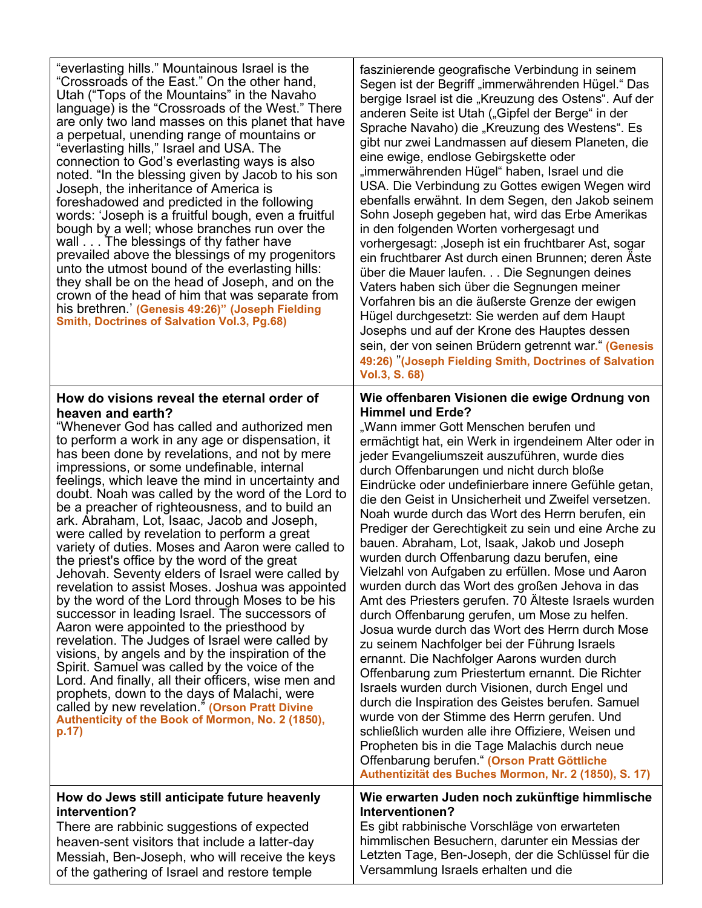"everlasting hills." Mountainous Israel is the "Crossroads of the East." On the other hand, Utah ("Tops of the Mountains" in the Navaho language) is the "Crossroads of the West." There are only two land masses on this planet that have a perpetual, unending range of mountains or "everlasting hills," Israel and USA. The connection to God's everlasting ways is also noted. "In the blessing given by Jacob to his son Joseph, the inheritance of America is foreshadowed and predicted in the following words: 'Joseph is a fruitful bough, even a fruitful bough by a well; whose branches run over the wall . . . The blessings of thy father have prevailed above the blessings of my progenitors unto the utmost bound of the everlasting hills: they shall be on the head of Joseph, and on the crown of the head of him that was separate from his brethren.' **(Genesis 49:26)" (Joseph Fielding Smith, Doctrines of Salvation Vol.3, Pg.68)**

#### **How do visions reveal the eternal order of heaven and earth?**

"Whenever God has called and authorized men to perform a work in any age or dispensation, it has been done by revelations, and not by mere impressions, or some undefinable, internal feelings, which leave the mind in uncertainty and doubt. Noah was called by the word of the Lord to be a preacher of righteousness, and to build an ark. Abraham, Lot, Isaac, Jacob and Joseph, were called by revelation to perform a great variety of duties. Moses and Aaron were called to the priest's office by the word of the great Jehovah. Seventy elders of Israel were called by revelation to assist Moses. Joshua was appointed by the word of the Lord through Moses to be his successor in leading Israel. The successors of Aaron were appointed to the priesthood by revelation. The Judges of Israel were called by visions, by angels and by the inspiration of the Spirit. Samuel was called by the voice of the Lord. And finally, all their officers, wise men and prophets, down to the days of Malachi, were called by new revelation." **(Orson Pratt Divine Authenticity of the Book of Mormon, No. 2 (1850), p.17)**

#### **How do Jews still anticipate future heavenly intervention?**

There are rabbinic suggestions of expected heaven-sent visitors that include a latter-day Messiah, Ben-Joseph, who will receive the keys of the gathering of Israel and restore temple

faszinierende geografische Verbindung in seinem Segen ist der Begriff "immerwährenden Hügel." Das bergige Israel ist die "Kreuzung des Ostens". Auf der anderen Seite ist Utah ("Gipfel der Berge" in der Sprache Navaho) die "Kreuzung des Westens". Es gibt nur zwei Landmassen auf diesem Planeten, die eine ewige, endlose Gebirgskette oder "immerwährenden Hügel" haben, Israel und die USA. Die Verbindung zu Gottes ewigen Wegen wird ebenfalls erwähnt. In dem Segen, den Jakob seinem Sohn Joseph gegeben hat, wird das Erbe Amerikas in den folgenden Worten vorhergesagt und vorhergesagt: 'Joseph ist ein fruchtbarer Ast, sogar ein fruchtbarer Ast durch einen Brunnen; deren Äste über die Mauer laufen. . . Die Segnungen deines Vaters haben sich über die Segnungen meiner Vorfahren bis an die äußerste Grenze der ewigen Hügel durchgesetzt: Sie werden auf dem Haupt Josephs und auf der Krone des Hauptes dessen sein, der von seinen Brüdern getrennt war**.**" **(Genesis 49:26)** "**(Joseph Fielding Smith, Doctrines of Salvation Vol.3, S. 68)**

#### **Wie offenbaren Visionen die ewige Ordnung von Himmel und Erde?**

"Wann immer Gott Menschen berufen und ermächtigt hat, ein Werk in irgendeinem Alter oder in jeder Evangeliumszeit auszuführen, wurde dies durch Offenbarungen und nicht durch bloße Eindrücke oder undefinierbare innere Gefühle getan, die den Geist in Unsicherheit und Zweifel versetzen. Noah wurde durch das Wort des Herrn berufen, ein Prediger der Gerechtigkeit zu sein und eine Arche zu bauen. Abraham, Lot, Isaak, Jakob und Joseph wurden durch Offenbarung dazu berufen, eine Vielzahl von Aufgaben zu erfüllen. Mose und Aaron wurden durch das Wort des großen Jehova in das Amt des Priesters gerufen. 70 Älteste Israels wurden durch Offenbarung gerufen, um Mose zu helfen. Josua wurde durch das Wort des Herrn durch Mose zu seinem Nachfolger bei der Führung Israels ernannt. Die Nachfolger Aarons wurden durch Offenbarung zum Priestertum ernannt. Die Richter Israels wurden durch Visionen, durch Engel und durch die Inspiration des Geistes berufen. Samuel wurde von der Stimme des Herrn gerufen. Und schließlich wurden alle ihre Offiziere, Weisen und Propheten bis in die Tage Malachis durch neue Offenbarung berufen." **(Orson Pratt Göttliche Authentizität des Buches Mormon, Nr. 2 (1850), S. 17)**

#### **Wie erwarten Juden noch zukünftige himmlische Interventionen?**

Es gibt rabbinische Vorschläge von erwarteten himmlischen Besuchern, darunter ein Messias der Letzten Tage, Ben-Joseph, der die Schlüssel für die Versammlung Israels erhalten und die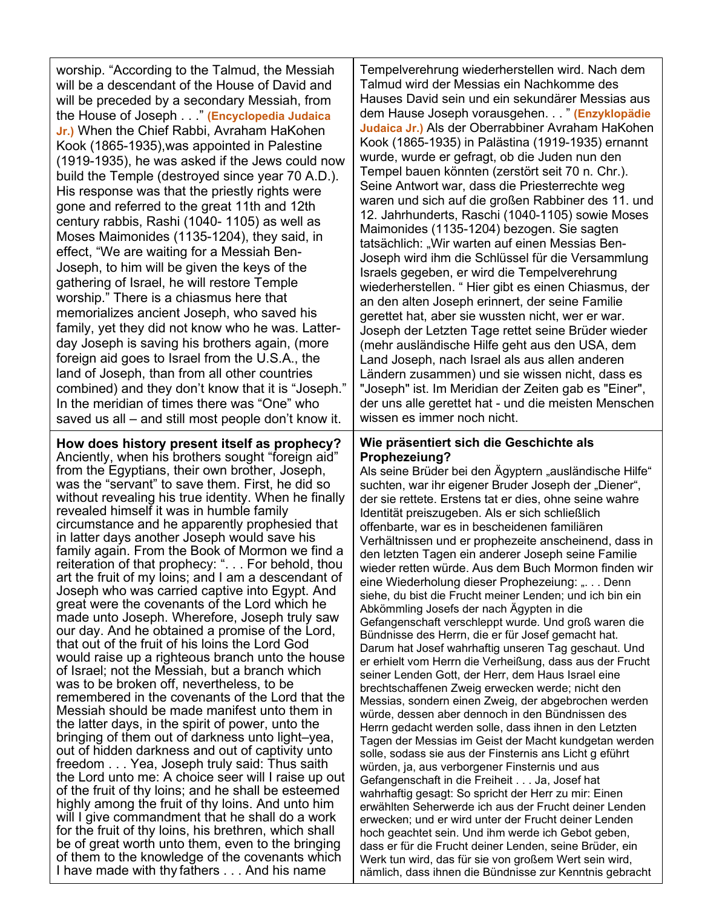worship. "According to the Talmud, the Messiah will be a descendant of the House of David and will be preceded by a secondary Messiah, from the House of Joseph . . ." **(Encyclopedia Judaica Jr.)** When the Chief Rabbi, Avraham HaKohen Kook (1865-1935),was appointed in Palestine (1919-1935), he was asked if the Jews could now build the Temple (destroyed since year 70 A.D.). His response was that the priestly rights were gone and referred to the great 11th and 12th century rabbis, Rashi (1040- 1105) as well as Moses Maimonides (1135-1204), they said, in effect, "We are waiting for a Messiah Ben-Joseph, to him will be given the keys of the gathering of Israel, he will restore Temple worship." There is a chiasmus here that memorializes ancient Joseph, who saved his family, yet they did not know who he was. Latterday Joseph is saving his brothers again, (more foreign aid goes to Israel from the U.S.A., the land of Joseph, than from all other countries combined) and they don't know that it is "Joseph." In the meridian of times there was "One" who saved us all – and still most people don't know it.

**How does history present itself as prophecy?** Anciently, when his brothers sought "foreign aid" from the Egyptians, their own brother, Joseph, was the "servant" to save them. First, he did so without revealing his true identity. When he finally revealed himself it was in humble family circumstance and he apparently prophesied that in latter days another Joseph would save his family again. From the Book of Mormon we find a reiteration of that prophecy: ". . . For behold, thou art the fruit of my loins; and I am a descendant of Joseph who was carried captive into Egypt. And great were the covenants of the Lord which he made unto Joseph. Wherefore, Joseph truly saw our day. And he obtained a promise of the Lord, that out of the fruit of his loins the Lord God would raise up a righteous branch unto the house of Israel; not the Messiah, but a branch which was to be broken off, nevertheless, to be remembered in the covenants of the Lord that the Messiah should be made manifest unto them in the latter days, in the spirit of power, unto the bringing of them out of darkness unto light–yea, out of hidden darkness and out of captivity unto freedom . . . Yea, Joseph truly said: Thus saith the Lord unto me: A choice seer will I raise up out of the fruit of thy loins; and he shall be esteemed highly among the fruit of thy loins. And unto him will I give commandment that he shall do a work for the fruit of thy loins, his brethren, which shall be of great worth unto them, even to the bringing of them to the knowledge of the covenants which I have made with thy fathers . . . And his name

Tempelverehrung wiederherstellen wird. Nach dem Talmud wird der Messias ein Nachkomme des Hauses David sein und ein sekundärer Messias aus dem Hause Joseph vorausgehen. . . " **(Enzyklopädie Judaica Jr.)** Als der Oberrabbiner Avraham HaKohen Kook (1865-1935) in Palästina (1919-1935) ernannt wurde, wurde er gefragt, ob die Juden nun den Tempel bauen könnten (zerstört seit 70 n. Chr.). Seine Antwort war, dass die Priesterrechte weg waren und sich auf die großen Rabbiner des 11. und 12. Jahrhunderts, Raschi (1040-1105) sowie Moses Maimonides (1135-1204) bezogen. Sie sagten tatsächlich: "Wir warten auf einen Messias Ben-Joseph wird ihm die Schlüssel für die Versammlung Israels gegeben, er wird die Tempelverehrung wiederherstellen. " Hier gibt es einen Chiasmus, der an den alten Joseph erinnert, der seine Familie gerettet hat, aber sie wussten nicht, wer er war. Joseph der Letzten Tage rettet seine Brüder wieder (mehr ausländische Hilfe geht aus den USA, dem Land Joseph, nach Israel als aus allen anderen Ländern zusammen) und sie wissen nicht, dass es "Joseph" ist. Im Meridian der Zeiten gab es "Einer", der uns alle gerettet hat - und die meisten Menschen wissen es immer noch nicht.

#### **Wie präsentiert sich die Geschichte als Prophezeiung?**

Als seine Brüder bei den Ägyptern "ausländische Hilfe" suchten, war ihr eigener Bruder Joseph der "Diener", der sie rettete. Erstens tat er dies, ohne seine wahre Identität preiszugeben. Als er sich schließlich offenbarte, war es in bescheidenen familiären Verhältnissen und er prophezeite anscheinend, dass in den letzten Tagen ein anderer Joseph seine Familie wieder retten würde. Aus dem Buch Mormon finden wir eine Wiederholung dieser Prophezeiung: "... Denn siehe, du bist die Frucht meiner Lenden; und ich bin ein Abkömmling Josefs der nach Ägypten in die Gefangenschaft verschleppt wurde. Und groß waren die Bündnisse des Herrn, die er für Josef gemacht hat. Darum hat Josef wahrhaftig unseren Tag geschaut. Und er erhielt vom Herrn die Verheißung, dass aus der Frucht seiner Lenden Gott, der Herr, dem Haus Israel eine brechtschaffenen Zweig erwecken werde; nicht den Messias, sondern einen Zweig, der abgebrochen werden würde, dessen aber dennoch in den Bündnissen des Herrn gedacht werden solle, dass ihnen in den Letzten Tagen der Messias im Geist der Macht kundgetan werden solle, sodass sie aus der Finsternis ans Licht g eführt würden, ja, aus verborgener Finsternis und aus Gefangenschaft in die Freiheit . . . Ja, Josef hat wahrhaftig gesagt: So spricht der Herr zu mir: Einen erwählten Seherwerde ich aus der Frucht deiner Lenden erwecken; und er wird unter der Frucht deiner Lenden hoch geachtet sein. Und ihm werde ich Gebot geben, dass er für die Frucht deiner Lenden, seine Brüder, ein Werk tun wird, das für sie von großem Wert sein wird, nämlich, dass ihnen die Bündnisse zur Kenntnis gebracht